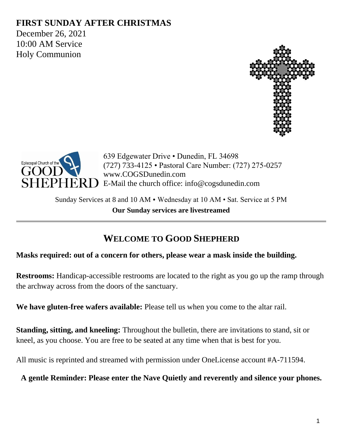# **FIRST SUNDAY AFTER CHRISTMAS**

December 26, 2021 10:00 AM Service Holy Communion





639 Edgewater Drive • Dunedin, FL 34698 (727) 733-4125 • Pastoral Care Number: (727) 275-0257 www.COGSDunedin.com E-Mail the church office: info@cogsdunedin.com

Sunday Services at 8 and 10 AM • Wednesday at 10 AM • Sat. Service at 5 PM **Our Sunday services are livestreamed**

# **WELCOME TO GOOD SHEPHERD**

**Masks required: out of a concern for others, please wear a mask inside the building.**

**Restrooms:** Handicap-accessible restrooms are located to the right as you go up the ramp through the archway across from the doors of the sanctuary.

**We have gluten-free wafers available:** Please tell us when you come to the altar rail.

**Standing, sitting, and kneeling:** Throughout the bulletin, there are invitations to stand, sit or kneel, as you choose. You are free to be seated at any time when that is best for you.

All music is reprinted and streamed with permission under OneLicense account #A-711594.

**A gentle Reminder: Please enter the Nave Quietly and reverently and silence your phones.**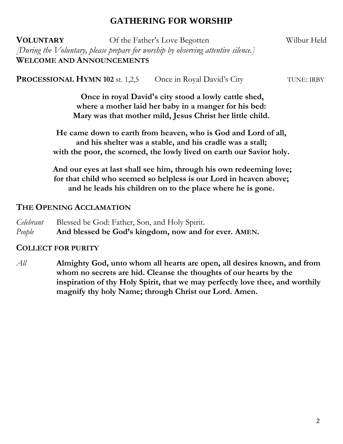## **GATHERING FOR WORSHIP**

**VOLUNTARY** Of the Father's Love Begotten Wilbur Held *[During the Voluntary, please prepare for worship by observing attentive silence.]* **WELCOME AND ANNOUNCEMENTS**

**PROCESSIONAL HYMN 102** st. 1,2,5 Once in Royal David's City TUNE: IRBY

**Once in royal David's city stood a lowly cattle shed, where a mother laid her baby in a manger for his bed: Mary was that mother mild, Jesus Christ her little child.** 

**He came down to earth from heaven, who is God and Lord of all, and his shelter was a stable, and his cradle was a stall; with the poor, the scorned, the lowly lived on earth our Savior holy.** 

**And our eyes at last shall see him, through his own redeeming love; for that child who seemed so helpless is our Lord in heaven above; and he leads his children on to the place where he is gone.** 

### **THE OPENING ACCLAMATION**

*Celebrant* Blessed be God: Father, Son, and Holy Spirit. *People* **And blessed be God's kingdom, now and for ever. AMEN.**

#### **COLLECT FOR PURITY**

*All* **Almighty God, unto whom all hearts are open, all desires known, and from whom no secrets are hid. Cleanse the thoughts of our hearts by the inspiration of thy Holy Spirit, that we may perfectly love thee, and worthily magnify thy holy Name; through Christ our Lord. Amen.**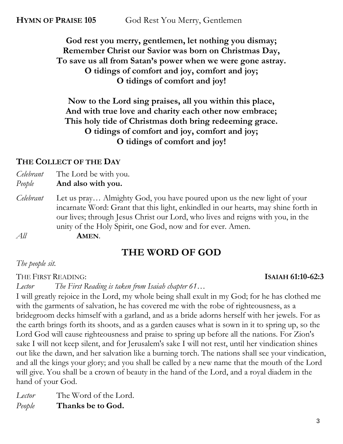**God rest you merry, gentlemen, let nothing you dismay; Remember Christ our Savior was born on Christmas Day, To save us all from Satan's power when we were gone astray. O tidings of comfort and joy, comfort and joy; O tidings of comfort and joy!**

**Now to the Lord sing praises, all you within this place, And with true love and charity each other now embrace; This holy tide of Christmas doth bring redeeming grace. O tidings of comfort and joy, comfort and joy; O tidings of comfort and joy!**

## **THE COLLECT OF THE DAY**

*Celebrant* The Lord be with you.

*People* **And also with you.**

*Celebrant* Let us pray… Almighty God, you have poured upon us the new light of your incarnate Word: Grant that this light, enkindled in our hearts, may shine forth in our lives; through Jesus Christ our Lord, who lives and reigns with you, in the unity of the Holy Spirit, one God, now and for ever. Amen. *All* **AMEN**.

# **THE WORD OF GOD**

#### *The people sit.*

THE FIRST READING: **ISAIAH 61:10-62:3**

*Lector The First Reading is taken from Isaiah chapter 61…*

I will greatly rejoice in the Lord, my whole being shall exult in my God; for he has clothed me with the garments of salvation, he has covered me with the robe of righteousness, as a bridegroom decks himself with a garland, and as a bride adorns herself with her jewels. For as the earth brings forth its shoots, and as a garden causes what is sown in it to spring up, so the Lord God will cause righteousness and praise to spring up before all the nations. For Zion's sake I will not keep silent, and for Jerusalem's sake I will not rest, until her vindication shines out like the dawn, and her salvation like a burning torch. The nations shall see your vindication, and all the kings your glory; and you shall be called by a new name that the mouth of the Lord will give. You shall be a crown of beauty in the hand of the Lord, and a royal diadem in the hand of your God.

*Lector* The Word of the Lord. *People* **Thanks be to God.**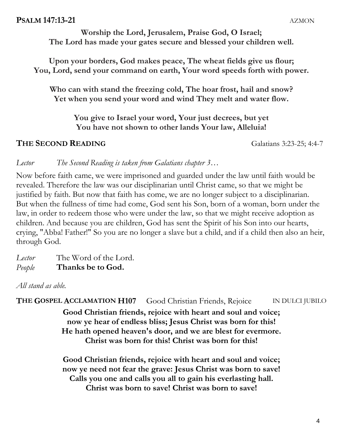**Worship the Lord, Jerusalem, Praise God, O Israel; The Lord has made your gates secure and blessed your children well.**

**Upon your borders, God makes peace, The wheat fields give us flour; You, Lord, send your command on earth, Your word speeds forth with power.**

**Who can with stand the freezing cold, The hoar frost, hail and snow? Yet when you send your word and wind They melt and water flow.**

**You give to Israel your word, Your just decrees, but yet You have not shown to other lands Your law, Alleluia!**

## **THE SECOND READING** Galatians 3:23-25; 4:4-7

### *Lector The Second Reading is taken from Galatians chapter 3…*

Now before faith came, we were imprisoned and guarded under the law until faith would be revealed. Therefore the law was our disciplinarian until Christ came, so that we might be justified by faith. But now that faith has come, we are no longer subject to a disciplinarian. But when the fullness of time had come, God sent his Son, born of a woman, born under the law, in order to redeem those who were under the law, so that we might receive adoption as children. And because you are children, God has sent the Spirit of his Son into our hearts, crying, "Abba! Father!" So you are no longer a slave but a child, and if a child then also an heir, through God.

*Lector* The Word of the Lord. *People* **Thanks be to God.**

*All stand as able.*

**THE GOSPEL ACCLAMATION H107** Good Christian Friends, Rejoice IN DULCI JUBILO **Good Christian friends, rejoice with heart and soul and voice; now ye hear of endless bliss; Jesus Christ was born for this! He hath opened heaven's door, and we are blest for evermore. Christ was born for this! Christ was born for this!**

> **Good Christian friends, rejoice with heart and soul and voice; now ye need not fear the grave: Jesus Christ was born to save! Calls you one and calls you all to gain his everlasting hall. Christ was born to save! Christ was born to save!**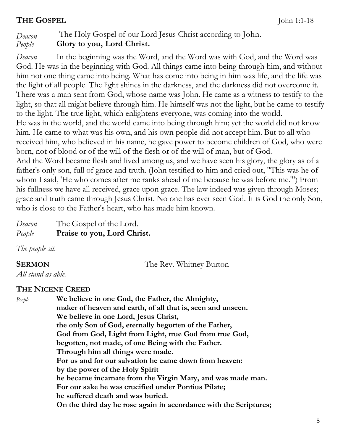## **THE GOSPEL** John 1:1-18

## *Deacon* The Holy Gospel of our Lord Jesus Christ according to John. *People* **Glory to you, Lord Christ.**

*Deacon* In the beginning was the Word, and the Word was with God, and the Word was God. He was in the beginning with God. All things came into being through him, and without him not one thing came into being. What has come into being in him was life, and the life was the light of all people. The light shines in the darkness, and the darkness did not overcome it. There was a man sent from God, whose name was John. He came as a witness to testify to the light, so that all might believe through him. He himself was not the light, but he came to testify to the light. The true light, which enlightens everyone, was coming into the world. He was in the world, and the world came into being through him; yet the world did not know him. He came to what was his own, and his own people did not accept him. But to all who received him, who believed in his name, he gave power to become children of God, who were born, not of blood or of the will of the flesh or of the will of man, but of God. And the Word became flesh and lived among us, and we have seen his glory, the glory as of a father's only son, full of grace and truth. (John testified to him and cried out, "This was he of whom I said, 'He who comes after me ranks ahead of me because he was before me.'") From

his fullness we have all received, grace upon grace. The law indeed was given through Moses; grace and truth came through Jesus Christ. No one has ever seen God. It is God the only Son, who is close to the Father's heart, who has made him known.

*Deacon* The Gospel of the Lord. *People* **Praise to you, Lord Christ.**

*The people sit.*

## **SERMON** The Rev. Whitney Burton

*All stand as able.*

#### **THE NICENE CREED**

*People* **We believe in one God, the Father, the Almighty, maker of heaven and earth, of all that is, seen and unseen. We believe in one Lord, Jesus Christ, the only Son of God, eternally begotten of the Father, God from God, Light from Light, true God from true God, begotten, not made, of one Being with the Father. Through him all things were made. For us and for our salvation he came down from heaven: by the power of the Holy Spirit he became incarnate from the Virgin Mary, and was made man. For our sake he was crucified under Pontius Pilate; he suffered death and was buried. On the third day he rose again in accordance with the Scriptures;**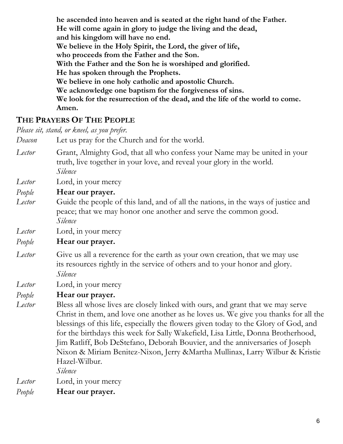**he ascended into heaven and is seated at the right hand of the Father. He will come again in glory to judge the living and the dead, and his kingdom will have no end. We believe in the Holy Spirit, the Lord, the giver of life, who proceeds from the Father and the Son. With the Father and the Son he is worshiped and glorified. He has spoken through the Prophets. We believe in one holy catholic and apostolic Church. We acknowledge one baptism for the forgiveness of sins. We look for the resurrection of the dead, and the life of the world to come. Amen.**

## **THE PRAYERS OF THE PEOPLE**

*Please sit, stand, or kneel, as you prefer.*

*Deacon* Let us pray for the Church and for the world.

- *Lector* Grant, Almighty God, that all who confess your Name may be united in your truth, live together in your love, and reveal your glory in the world. *Silence*
- *Lector* Lord, in your mercy

*People* **Hear our prayer.**

*Lector* Guide the people of this land, and of all the nations, in the ways of justice and peace; that we may honor one another and serve the common good. *Silence*

*Lector* Lord, in your mercy

- *People* **Hear our prayer.**
- *Lector* Give us all a reverence for the earth as your own creation, that we may use its resources rightly in the service of others and to your honor and glory. *Silence*

*Lector* Lord, in your mercy

#### *People* **Hear our prayer.**

*Lector* Bless all whose lives are closely linked with ours, and grant that we may serve Christ in them, and love one another as he loves us. We give you thanks for all the blessings of this life, especially the flowers given today to the Glory of God, and for the birthdays this week for Sally Wakefield, Lisa Little, Donna Brotherhood, Jim Ratliff, Bob DeStefano, Deborah Bouvier, and the anniversaries of Joseph Nixon & Miriam Benitez-Nixon, Jerry &Martha Mullinax, Larry Wilbur & Kristie Hazel-Wilbur*. Silence*

*Lector* Lord, in your mercy

*People* **Hear our prayer.**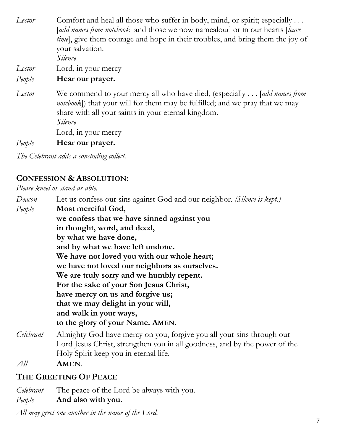*Lector* Comfort and heal all those who suffer in body, mind, or spirit; especially ... [*add names from notebook*] and those we now namealoud or in our hearts [*leave time*, give them courage and hope in their troubles, and bring them the joy of your salvation. *Silence Lector* Lord, in your mercy *People* **Hear our prayer.** *Lector* We commend to your mercy all who have died, (especially . . . [*add names from notebook*]) that your will for them may be fulfilled; and we pray that we may share with all your saints in your eternal kingdom. *Silence* Lord, in your mercy *People* **Hear our prayer.**

*The Celebrant adds a concluding collect.* 

## **CONFESSION & ABSOLUTION:**

*Please kneel or stand as able.*

*Deacon* Let us confess our sins against God and our neighbor. *(Silence is kept.) People* **Most merciful God, we confess that we have sinned against you in thought, word, and deed, by what we have done, and by what we have left undone. We have not loved you with our whole heart; we have not loved our neighbors as ourselves. We are truly sorry and we humbly repent. For the sake of your Son Jesus Christ, have mercy on us and forgive us; that we may delight in your will, and walk in your ways, to the glory of your Name. AMEN.**

*Celebrant* Almighty God have mercy on you, forgive you all your sins through our Lord Jesus Christ, strengthen you in all goodness, and by the power of the Holy Spirit keep you in eternal life.

*All* **AMEN**.

# **THE GREETING OF PEACE**

*Celebrant* The peace of the Lord be always with you.

*People* **And also with you.**

*All may greet one another in the name of the Lord.*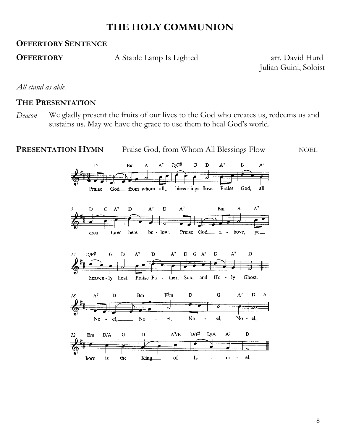# **THE HOLY COMMUNION**

**OFFERTORY SENTENCE**

**OFFERTORY** A Stable Lamp Is Lighted arr. David Hurd

Julian Guini, Soloist

*All stand as able.*

#### **THE PRESENTATION**

*Deacon* We gladly present the fruits of our lives to the God who creates us, redeems us and sustains us. May we have the grace to use them to heal God's world.

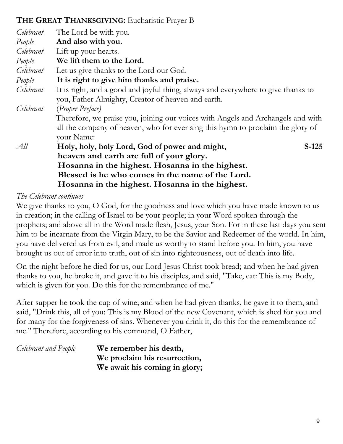## **THE GREAT THANKSGIVING:** Eucharistic Prayer B

| Celebrant | The Lord be with you.                                                                                                                                                             |  |
|-----------|-----------------------------------------------------------------------------------------------------------------------------------------------------------------------------------|--|
| People    | And also with you.                                                                                                                                                                |  |
| Celebrant | Lift up your hearts.                                                                                                                                                              |  |
| People    | We lift them to the Lord.                                                                                                                                                         |  |
| Celebrant | Let us give thanks to the Lord our God.                                                                                                                                           |  |
| People    | It is right to give him thanks and praise.                                                                                                                                        |  |
| Celebrant | It is right, and a good and joyful thing, always and everywhere to give thanks to<br>you, Father Almighty, Creator of heaven and earth.                                           |  |
| Celebrant | (Proper Preface)                                                                                                                                                                  |  |
|           | Therefore, we praise you, joining our voices with Angels and Archangels and with<br>all the company of heaven, who for ever sing this hymn to proclaim the glory of<br>your Name: |  |
| All       | Holy, holy, holy Lord, God of power and might,<br>$S-125$                                                                                                                         |  |
|           | heaven and earth are full of your glory.                                                                                                                                          |  |
|           | Hosanna in the highest. Hosanna in the highest.                                                                                                                                   |  |
|           | Blessed is he who comes in the name of the Lord.                                                                                                                                  |  |
|           | Hosanna in the highest. Hosanna in the highest.                                                                                                                                   |  |

## *The Celebrant continues*

We give thanks to you, O God, for the goodness and love which you have made known to us in creation; in the calling of Israel to be your people; in your Word spoken through the prophets; and above all in the Word made flesh, Jesus, your Son. For in these last days you sent him to be incarnate from the Virgin Mary, to be the Savior and Redeemer of the world. In him, you have delivered us from evil, and made us worthy to stand before you. In him, you have brought us out of error into truth, out of sin into righteousness, out of death into life.

On the night before he died for us, our Lord Jesus Christ took bread; and when he had given thanks to you, he broke it, and gave it to his disciples, and said, "Take, eat: This is my Body, which is given for you. Do this for the remembrance of me."

After supper he took the cup of wine; and when he had given thanks, he gave it to them, and said, "Drink this, all of you: This is my Blood of the new Covenant, which is shed for you and for many for the forgiveness of sins. Whenever you drink it, do this for the remembrance of me." Therefore, according to his command, O Father,

*Celebrant and People* **We remember his death, We proclaim his resurrection, We await his coming in glory;**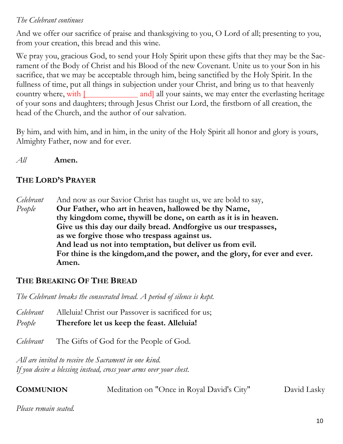#### *The Celebrant continues*

And we offer our sacrifice of praise and thanksgiving to you, O Lord of all; presenting to you, from your creation, this bread and this wine.

We pray you, gracious God, to send your Holy Spirit upon these gifts that they may be the Sacrament of the Body of Christ and his Blood of the new Covenant. Unite us to your Son in his sacrifice, that we may be acceptable through him, being sanctified by the Holy Spirit. In the fullness of time, put all things in subjection under your Christ, and bring us to that heavenly country where, with  $\Box$  and all your saints, we may enter the everlasting heritage of your sons and daughters; through Jesus Christ our Lord, the firstborn of all creation, the head of the Church, and the author of our salvation.

By him, and with him, and in him, in the unity of the Holy Spirit all honor and glory is yours, Almighty Father, now and for ever.

*All* **Amen.** 

## **THE LORD'S PRAYER**

*Celebrant* And now as our Savior Christ has taught us, we are bold to say, *People* **Our Father, who art in heaven, hallowed be thy Name, thy kingdom come, thywill be done, on earth as it is in heaven. Give us this day our daily bread. Andforgive us our trespasses, as we forgive those who trespass against us. And lead us not into temptation, but deliver us from evil. For thine is the kingdom,and the power, and the glory, for ever and ever. Amen.**

## **THE BREAKING OF THE BREAD**

*The Celebrant breaks the consecrated bread. A period of silence is kept.*

*Celebrant* Alleluia! Christ our Passover is sacrificed for us; *People* **Therefore let us keep the feast. Alleluia!**

*Celebrant* The Gifts of God for the People of God.

*All are invited to receive the Sacrament in one kind. If you desire a blessing instead, cross your arms over your chest.*

**COMMUNION** Meditation on "Once in Royal David's City" David Lasky

*Please remain seated.*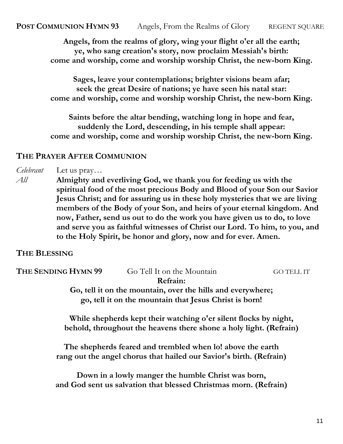**Angels, from the realms of glory, wing your flight o'er all the earth; ye, who sang creation's story, now proclaim Messiah's birth: come and worship, come and worship worship Christ, the new-born King.**

**Sages, leave your contemplations; brighter visions beam afar; seek the great Desire of nations; ye have seen his natal star: come and worship, come and worship worship Christ, the new-born King.**

**Saints before the altar bending, watching long in hope and fear, suddenly the Lord, descending, in his temple shall appear: come and worship, come and worship worship Christ, the new-born King.**

#### **THE PRAYER AFTER COMMUNION**

*Celebrant* Let us pray… *All* **Almighty and everliving God, we thank you for feeding us with the spiritual food of the most precious Body and Blood of your Son our Savior Jesus Christ; and for assuring us in these holy mysteries that we are living members of the Body of your Son, and heirs of your eternal kingdom. And now, Father, send us out to do the work you have given us to do, to love and serve you as faithful witnesses of Christ our Lord. To him, to you, and to the Holy Spirit, be honor and glory, now and for ever. Amen.**

#### **THE BLESSING**

**THE SENDING HYMN 99** Go Tell It on the Mountain GO TELL IT

**Refrain:** 

**Go, tell it on the mountain, over the hills and everywhere; go, tell it on the mountain that Jesus Christ is born!**

**While shepherds kept their watching o'er silent flocks by night, behold, throughout the heavens there shone a holy light. (Refrain)**

**The shepherds feared and trembled when lo! above the earth rang out the angel chorus that hailed our Savior's birth. (Refrain)**

**Down in a lowly manger the humble Christ was born, and God sent us salvation that blessed Christmas morn. (Refrain)**